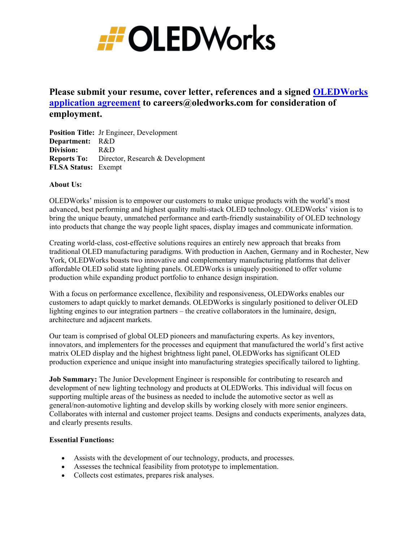

# **Please submit your resume, cover letter, references and a signed [OLEDWorks](https://www.oledworks.com/wp-content/uploads/2019/09/OLEDWorks-Application-Agreement_.pdf)  [application agreement](https://www.oledworks.com/wp-content/uploads/2019/09/OLEDWorks-Application-Agreement_.pdf) to careers@oledworks.com for consideration of employment.**

**Position Title:** Jr Engineer, Development **Department:** R&D **Division:** R&D **Reports To:** Director, Research & Development **FLSA Status:** Exempt

### **About Us:**

OLEDWorks' mission is to empower our customers to make unique products with the world's most advanced, best performing and highest quality multi-stack OLED technology. OLEDWorks' vision is to bring the unique beauty, unmatched performance and earth-friendly sustainability of OLED technology into products that change the way people light spaces, display images and communicate information.

Creating world-class, cost-effective solutions requires an entirely new approach that breaks from traditional OLED manufacturing paradigms. With production in Aachen, Germany and in Rochester, New York, OLEDWorks boasts two innovative and complementary manufacturing platforms that deliver affordable OLED solid state lighting panels. OLEDWorks is uniquely positioned to offer volume production while expanding product portfolio to enhance design inspiration.

With a focus on performance excellence, flexibility and responsiveness, OLEDWorks enables our customers to adapt quickly to market demands. OLEDWorks is singularly positioned to deliver OLED lighting engines to our integration partners – the creative collaborators in the luminaire, design, architecture and adjacent markets.

Our team is comprised of global OLED pioneers and manufacturing experts. As key inventors, innovators, and implementers for the processes and equipment that manufactured the world's first active matrix OLED display and the highest brightness light panel, OLEDWorks has significant OLED production experience and unique insight into manufacturing strategies specifically tailored to lighting.

**Job Summary:** The Junior Development Engineer is responsible for contributing to research and development of new lighting technology and products at OLEDWorks. This individual will focus on supporting multiple areas of the business as needed to include the automotive sector as well as general/non-automotive lighting and develop skills by working closely with more senior engineers. Collaborates with internal and customer project teams. Designs and conducts experiments, analyzes data, and clearly presents results.

### **Essential Functions:**

- Assists with the development of our technology, products, and processes.
- Assesses the technical feasibility from prototype to implementation.
- Collects cost estimates, prepares risk analyses.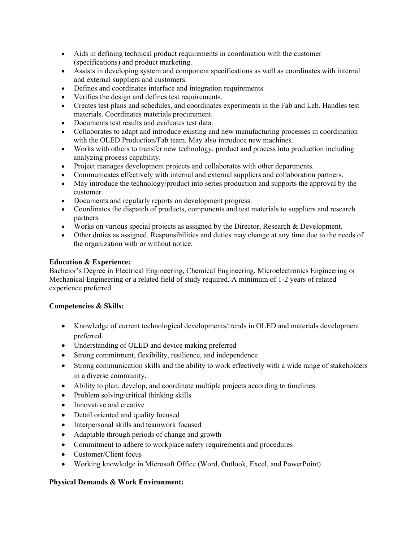- Aids in defining technical product requirements in coordination with the customer (specifications) and product marketing.
- Assists in developing system and component specifications as well as coordinates with internal and external suppliers and customers.
- Defines and coordinates interface and integration requirements.
- Verifies the design and defines test requirements.
- Creates test plans and schedules, and coordinates experiments in the Fab and Lab. Handles test materials. Coordinates materials procurement.
- Documents test results and evaluates test data.
- Collaborates to adapt and introduce existing and new manufacturing processes in coordination with the OLED Production/Fab team. May also introduce new machines.
- Works with others to transfer new technology, product and process into production including analyzing process capability.
- Project manages development projects and collaborates with other departments.
- Communicates effectively with internal and external suppliers and collaboration partners.
- May introduce the technology/product into series production and supports the approval by the customer.
- Documents and regularly reports on development progress.
- Coordinates the dispatch of products, components and test materials to suppliers and research partners
- Works on various special projects as assigned by the Director, Research & Development.
- Other duties as assigned. Responsibilities and duties may change at any time due to the needs of the organization with or without notice.

# **Education & Experience:**

Bachelor's Degree in Electrical Engineering, Chemical Engineering, Microelectronics Engineering or Mechanical Engineering or a related field of study required. A minimum of 1-2 years of related experience preferred.

# **Competencies & Skills:**

- Knowledge of current technological developments/trends in OLED and materials development preferred.
- Understanding of OLED and device making preferred
- Strong commitment, flexibility, resilience, and independence
- Strong communication skills and the ability to work effectively with a wide range of stakeholders in a diverse community.
- Ability to plan, develop, and coordinate multiple projects according to timelines.
- Problem solving/critical thinking skills
- Innovative and creative
- Detail oriented and quality focused
- Interpersonal skills and teamwork focused
- Adaptable through periods of change and growth
- Commitment to adhere to workplace safety requirements and procedures
- Customer/Client focus
- Working knowledge in Microsoft Office (Word, Outlook, Excel, and PowerPoint)

# **Physical Demands & Work Environment:**